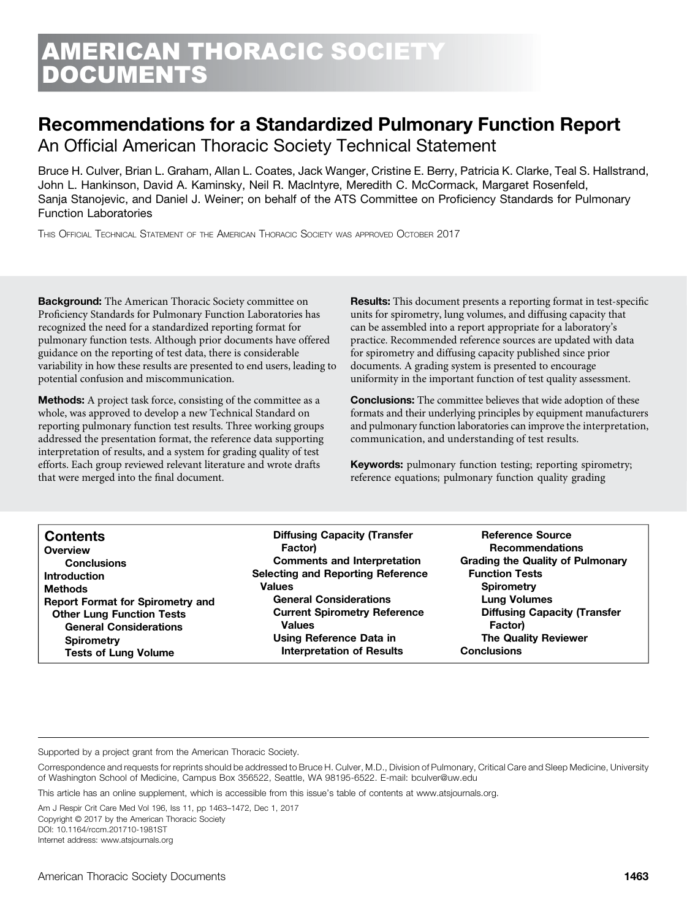# ERICAN THORACIC SOCIETY DOCUMENTS

# Recommendations for a Standardized Pulmonary Function Report

An Official American Thoracic Society Technical Statement

Bruce H. Culver, Brian L. Graham, Allan L. Coates, Jack Wanger, Cristine E. Berry, Patricia K. Clarke, Teal S. Hallstrand, John L. Hankinson, David A. Kaminsky, Neil R. MacIntyre, Meredith C. McCormack, Margaret Rosenfeld, Sanja Stanojevic, and Daniel J. Weiner; on behalf of the ATS Committee on Proficiency Standards for Pulmonary Function Laboratories

THIS OFFICIAL TECHNICAL STATEMENT OF THE AMERICAN THORACIC SOCIETY WAS APPROVED OCTOBER 2017

**Background:** The American Thoracic Society committee on Proficiency Standards for Pulmonary Function Laboratories has recognized the need for a standardized reporting format for pulmonary function tests. Although prior documents have offered guidance on the reporting of test data, there is considerable variability in how these results are presented to end users, leading to potential confusion and miscommunication.

Methods: A project task force, consisting of the committee as a whole, was approved to develop a new Technical Standard on reporting pulmonary function test results. Three working groups addressed the presentation format, the reference data supporting interpretation of results, and a system for grading quality of test efforts. Each group reviewed relevant literature and wrote drafts that were merged into the final document.

**Results:** This document presents a reporting format in test-specific units for spirometry, lung volumes, and diffusing capacity that can be assembled into a report appropriate for a laboratory's practice. Recommended reference sources are updated with data for spirometry and diffusing capacity published since prior documents. A grading system is presented to encourage uniformity in the important function of test quality assessment.

**Conclusions:** The committee believes that wide adoption of these formats and their underlying principles by equipment manufacturers and pulmonary function laboratories can improve the interpretation, communication, and understanding of test results.

Keywords: pulmonary function testing; reporting spirometry; reference equations; pulmonary function quality grading

| <b>Contents</b>                         | <b>Diffusing Capacity (Transfer</b>      | <b>Reference Source</b>                 |
|-----------------------------------------|------------------------------------------|-----------------------------------------|
| Overview                                | Factor)                                  | <b>Recommendations</b>                  |
| <b>Conclusions</b>                      | <b>Comments and Interpretation</b>       | <b>Grading the Quality of Pulmonary</b> |
| <b>Introduction</b>                     | <b>Selecting and Reporting Reference</b> | <b>Function Tests</b>                   |
| <b>Methods</b>                          | <b>Values</b>                            | <b>Spirometry</b>                       |
| <b>Report Format for Spirometry and</b> | <b>General Considerations</b>            | <b>Lung Volumes</b>                     |
| <b>Other Lung Function Tests</b>        | <b>Current Spirometry Reference</b>      | <b>Diffusing Capacity (Transfer</b>     |
| <b>General Considerations</b>           | <b>Values</b>                            | <b>Factor</b> )                         |
| <b>Spirometry</b>                       | Using Reference Data in                  | <b>The Quality Reviewer</b>             |
| <b>Tests of Lung Volume</b>             | <b>Interpretation of Results</b>         | <b>Conclusions</b>                      |

Supported by a project grant from the American Thoracic Society.

This article has an online supplement, which is accessible from this issue's table of contents at [www.atsjournals.org.](http://www.atsjournals.org)

Am J Respir Crit Care Med Vol 196, Iss 11, pp 1463–1472, Dec 1, 2017 Copyright © 2017 by the American Thoracic Society DOI: [10.1164/rccm.201710-1981ST](http://10.1164/rccm.201710-1981ST) Internet address: [www.atsjournals.org](http://www.atsjournals.org)

Correspondence and requests for reprints should be addressed to Bruce H. Culver, M.D., Division of Pulmonary, Critical Care and Sleep Medicine, University of Washington School of Medicine, Campus Box 356522, Seattle, WA 98195-6522. E-mail: [bculver@uw.edu](mailto:bculver@uw.edu)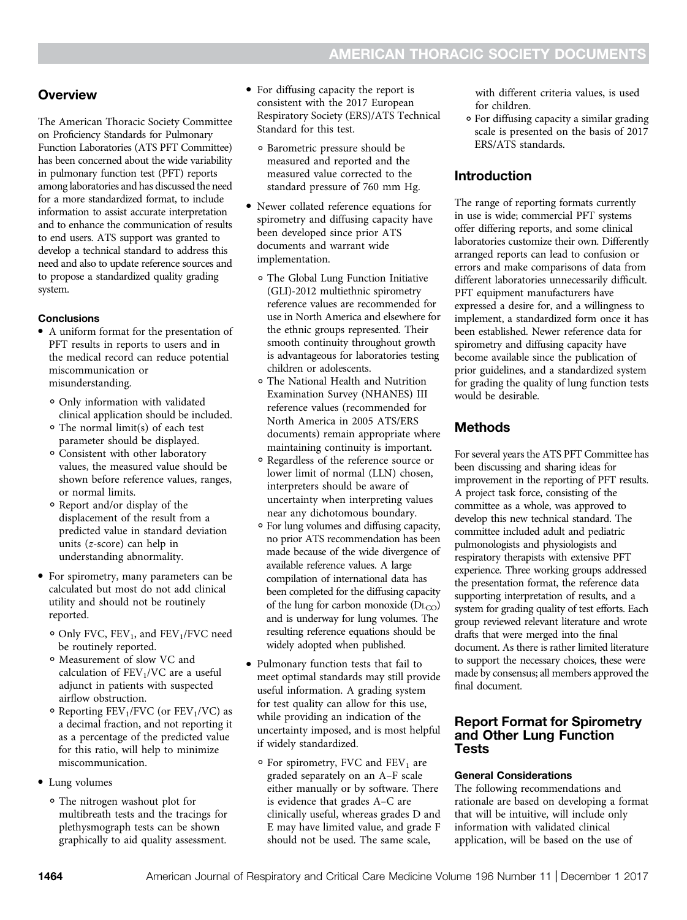# **Overview**

The American Thoracic Society Committee on Proficiency Standards for Pulmonary Function Laboratories (ATS PFT Committee) has been concerned about the wide variability in pulmonary function test (PFT) reports among laboratories and has discussed the need for a more standardized format, to include information to assist accurate interpretation and to enhance the communication of results to end users. ATS support was granted to develop a technical standard to address this need and also to update reference sources and to propose a standardized quality grading system.

# **Conclusions**

- A uniform format for the presentation of PFT results in reports to users and in the medical record can reduce potential miscommunication or misunderstanding.
	- ∘ Only information with validated clinical application should be included.
	- ∘ The normal limit(s) of each test parameter should be displayed.
	- ∘ Consistent with other laboratory values, the measured value should be shown before reference values, ranges, or normal limits.
	- ∘ Report and/or display of the displacement of the result from a predicted value in standard deviation units (z-score) can help in understanding abnormality.
- For spirometry, many parameters can be calculated but most do not add clinical utility and should not be routinely reported.
	- ∘ Only FVC, FEV1, and FEV1/FVC need be routinely reported.
	- ∘ Measurement of slow VC and calculation of  $FEV<sub>1</sub>/VC$  are a useful adjunct in patients with suspected airflow obstruction.
	- ∘ Reporting FEV1/FVC (or FEV1/VC) as a decimal fraction, and not reporting it as a percentage of the predicted value for this ratio, will help to minimize miscommunication.
- Lung volumes
	- ∘ The nitrogen washout plot for multibreath tests and the tracings for plethysmograph tests can be shown graphically to aid quality assessment.
- For diffusing capacity the report is consistent with the 2017 European Respiratory Society (ERS)/ATS Technical Standard for this test.
	- ∘ Barometric pressure should be measured and reported and the measured value corrected to the standard pressure of 760 mm Hg.
- <sup>d</sup> Newer collated reference equations for spirometry and diffusing capacity have been developed since prior ATS documents and warrant wide implementation.
	- ∘ The Global Lung Function Initiative (GLI)-2012 multiethnic spirometry reference values are recommended for use in North America and elsewhere for the ethnic groups represented. Their smooth continuity throughout growth is advantageous for laboratories testing children or adolescents.
	- ∘ The National Health and Nutrition Examination Survey (NHANES) III reference values (recommended for North America in 2005 ATS/ERS documents) remain appropriate where maintaining continuity is important.
	- ∘ Regardless of the reference source or lower limit of normal (LLN) chosen, interpreters should be aware of uncertainty when interpreting values near any dichotomous boundary.
	- ∘ For lung volumes and diffusing capacity, no prior ATS recommendation has been made because of the wide divergence of available reference values. A large compilation of international data has been completed for the diffusing capacity of the lung for carbon monoxide  $(D_{\text{L}_\text{CO}})$ and is underway for lung volumes. The resulting reference equations should be widely adopted when published.
- Pulmonary function tests that fail to meet optimal standards may still provide useful information. A grading system for test quality can allow for this use, while providing an indication of the uncertainty imposed, and is most helpful if widely standardized.
	- ∘ For spirometry, FVC and FEV1 are graded separately on an A–F scale either manually or by software. There is evidence that grades A–C are clinically useful, whereas grades D and E may have limited value, and grade F should not be used. The same scale,

with different criteria values, is used for children.

∘ For diffusing capacity a similar grading scale is presented on the basis of 2017 ERS/ATS standards.

# Introduction

The range of reporting formats currently in use is wide; commercial PFT systems offer differing reports, and some clinical laboratories customize their own. Differently arranged reports can lead to confusion or errors and make comparisons of data from different laboratories unnecessarily difficult. PFT equipment manufacturers have expressed a desire for, and a willingness to implement, a standardized form once it has been established. Newer reference data for spirometry and diffusing capacity have become available since the publication of prior guidelines, and a standardized system for grading the quality of lung function tests would be desirable.

# **Methods**

For several years the ATS PFT Committee has been discussing and sharing ideas for improvement in the reporting of PFT results. A project task force, consisting of the committee as a whole, was approved to develop this new technical standard. The committee included adult and pediatric pulmonologists and physiologists and respiratory therapists with extensive PFT experience. Three working groups addressed the presentation format, the reference data supporting interpretation of results, and a system for grading quality of test efforts. Each group reviewed relevant literature and wrote drafts that were merged into the final document. As there is rather limited literature to support the necessary choices, these were made by consensus; all members approved the final document.

# Report Format for Spirometry and Other Lung Function Tests

# General Considerations

The following recommendations and rationale are based on developing a format that will be intuitive, will include only information with validated clinical application, will be based on the use of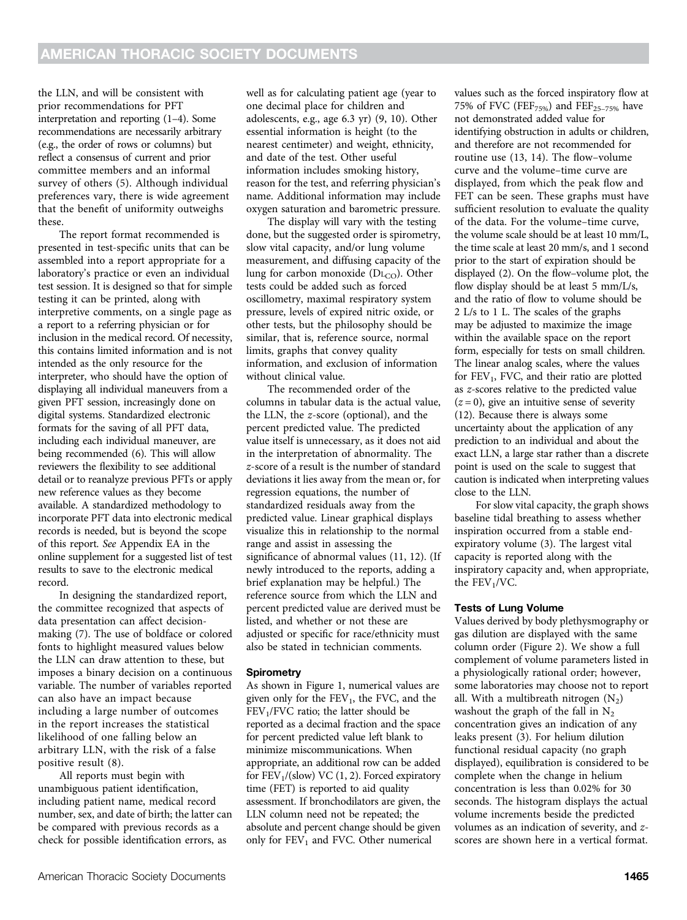the LLN, and will be consistent with prior recommendations for PFT interpretation and reporting (1–4). Some recommendations are necessarily arbitrary (e.g., the order of rows or columns) but reflect a consensus of current and prior committee members and an informal survey of others (5). Although individual preferences vary, there is wide agreement that the benefit of uniformity outweighs these.

The report format recommended is presented in test-specific units that can be assembled into a report appropriate for a laboratory's practice or even an individual test session. It is designed so that for simple testing it can be printed, along with interpretive comments, on a single page as a report to a referring physician or for inclusion in the medical record. Of necessity, this contains limited information and is not intended as the only resource for the interpreter, who should have the option of displaying all individual maneuvers from a given PFT session, increasingly done on digital systems. Standardized electronic formats for the saving of all PFT data, including each individual maneuver, are being recommended (6). This will allow reviewers the flexibility to see additional detail or to reanalyze previous PFTs or apply new reference values as they become available. A standardized methodology to incorporate PFT data into electronic medical records is needed, but is beyond the scope of this report. See Appendix EA in the online supplement for a suggested list of test results to save to the electronic medical record.

In designing the standardized report, the committee recognized that aspects of data presentation can affect decisionmaking (7). The use of boldface or colored fonts to highlight measured values below the LLN can draw attention to these, but imposes a binary decision on a continuous variable. The number of variables reported can also have an impact because including a large number of outcomes in the report increases the statistical likelihood of one falling below an arbitrary LLN, with the risk of a false positive result (8).

All reports must begin with unambiguous patient identification, including patient name, medical record number, sex, and date of birth; the latter can be compared with previous records as a check for possible identification errors, as

well as for calculating patient age (year to one decimal place for children and adolescents, e.g., age 6.3 yr) (9, 10). Other essential information is height (to the nearest centimeter) and weight, ethnicity, and date of the test. Other useful information includes smoking history, reason for the test, and referring physician's name. Additional information may include oxygen saturation and barometric pressure.

The display will vary with the testing done, but the suggested order is spirometry, slow vital capacity, and/or lung volume measurement, and diffusing capacity of the lung for carbon monoxide ( $D_{\text{LCO}}$ ). Other tests could be added such as forced oscillometry, maximal respiratory system pressure, levels of expired nitric oxide, or other tests, but the philosophy should be similar, that is, reference source, normal limits, graphs that convey quality information, and exclusion of information without clinical value.

The recommended order of the columns in tabular data is the actual value, the LLN, the z-score (optional), and the percent predicted value. The predicted value itself is unnecessary, as it does not aid in the interpretation of abnormality. The z-score of a result is the number of standard deviations it lies away from the mean or, for regression equations, the number of standardized residuals away from the predicted value. Linear graphical displays visualize this in relationship to the normal range and assist in assessing the significance of abnormal values (11, 12). (If newly introduced to the reports, adding a brief explanation may be helpful.) The reference source from which the LLN and percent predicted value are derived must be listed, and whether or not these are adjusted or specific for race/ethnicity must also be stated in technician comments.

### **Spirometry**

As shown in Figure 1, numerical values are given only for the  $FEV_1$ , the FVC, and the  $FEV<sub>1</sub>/FVC$  ratio; the latter should be reported as a decimal fraction and the space for percent predicted value left blank to minimize miscommunications. When appropriate, an additional row can be added for  $FEV<sub>1</sub>$ /(slow) VC (1, 2). Forced expiratory time (FET) is reported to aid quality assessment. If bronchodilators are given, the LLN column need not be repeated; the absolute and percent change should be given only for  $FEV<sub>1</sub>$  and  $FVC$ . Other numerical

values such as the forced inspiratory flow at 75% of FVC (FEF<sub>75%</sub>) and FEF<sub>25-75%</sub> have not demonstrated added value for identifying obstruction in adults or children, and therefore are not recommended for routine use (13, 14). The flow–volume curve and the volume–time curve are displayed, from which the peak flow and FET can be seen. These graphs must have sufficient resolution to evaluate the quality of the data. For the volume–time curve, the volume scale should be at least 10 mm/L, the time scale at least 20 mm/s, and 1 second prior to the start of expiration should be displayed (2). On the flow–volume plot, the flow display should be at least 5 mm/L/s, and the ratio of flow to volume should be 2 L/s to 1 L. The scales of the graphs may be adjusted to maximize the image within the available space on the report form, especially for tests on small children. The linear analog scales, where the values for FEV<sub>1</sub>, FVC, and their ratio are plotted as z-scores relative to the predicted value  $(z = 0)$ , give an intuitive sense of severity (12). Because there is always some uncertainty about the application of any prediction to an individual and about the exact LLN, a large star rather than a discrete point is used on the scale to suggest that caution is indicated when interpreting values close to the LLN.

For slow vital capacity, the graph shows baseline tidal breathing to assess whether inspiration occurred from a stable endexpiratory volume (3). The largest vital capacity is reported along with the inspiratory capacity and, when appropriate, the  $FEV<sub>1</sub>/VC$ .

# Tests of Lung Volume

Values derived by body plethysmography or gas dilution are displayed with the same column order (Figure 2). We show a full complement of volume parameters listed in a physiologically rational order; however, some laboratories may choose not to report all. With a multibreath nitrogen  $(N_2)$ washout the graph of the fall in  $N_2$ concentration gives an indication of any leaks present (3). For helium dilution functional residual capacity (no graph displayed), equilibration is considered to be complete when the change in helium concentration is less than 0.02% for 30 seconds. The histogram displays the actual volume increments beside the predicted volumes as an indication of severity, and zscores are shown here in a vertical format.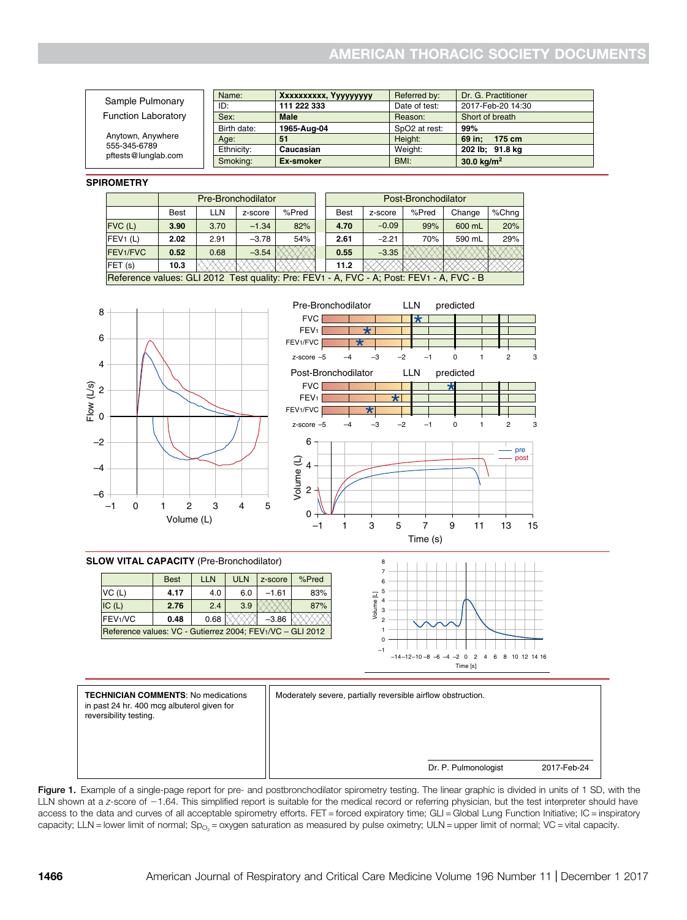| Sample Pulmonary                                         | Name:       | Xxxxxxxxxx, Yyyyyyyyy | Referred by:              | Dr. G. Practitioner |
|----------------------------------------------------------|-------------|-----------------------|---------------------------|---------------------|
|                                                          | ID:         | 111 222 333           | Date of test:             | 2017-Feb-20 14:30   |
| <b>Function Laboratory</b>                               | Sex:        | <b>Male</b>           | Reason:                   | Short of breath     |
| Anytown, Anywhere<br>555-345-6789<br>pftests@lunglab.com | Birth date: | 1965-Aug-04           | SpO <sub>2</sub> at rest: | 99%                 |
|                                                          | Age:        | 51                    | Height:                   | 69 in:<br>175 cm    |
|                                                          | Ethnicity:  | Caucasian             | Weight:                   | 202 lb; 91.8 kg     |
|                                                          | Smoking:    | Ex-smoker             | BMI:                      | 30.0 $kg/m2$        |

#### **SPIROMETRY**

|                                                                                          | Pre-Bronchodilator |      |         |       | Post-Bronchodilator |             |         |       |        |       |
|------------------------------------------------------------------------------------------|--------------------|------|---------|-------|---------------------|-------------|---------|-------|--------|-------|
|                                                                                          | <b>Best</b>        | LLN  | z-score | %Pred |                     | <b>Best</b> | z-score | %Pred | Change | %Chng |
| $FVC$ (L)                                                                                | 3.90               | 3.70 | $-1.34$ | 82%   |                     | 4.70        | $-0.09$ | 99%   | 600 mL | 20%   |
| FEV1(L)                                                                                  | 2.02               | 2.91 | $-3.78$ | 54%   |                     | 2.61        | $-2.21$ | 70%   | 590 mL | 29%   |
| FEV1/FVC                                                                                 | 0.52               | 0.68 | $-3.54$ |       |                     | 0.55        | $-3.35$ |       |        |       |
| FET(s)                                                                                   | 10.3               |      |         |       |                     | 11.2        |         |       |        |       |
| Reference values: GLI 2012 Test quality: Pre: FEV1 - A, FVC - A; Post: FEV1 - A, FVC - B |                    |      |         |       |                     |             |         |       |        |       |





#### **SLOW VITAL CAPACITY** (Pre-Bronchodilator)

|                                                           | <b>Best</b> | <b>LLN</b> | <b>ULN</b> | z-score | %Pred |  |
|-----------------------------------------------------------|-------------|------------|------------|---------|-------|--|
| VC(L)                                                     | 4.17        | 4.0        | 6.0        | $-1.61$ | 83%   |  |
| IC(L)                                                     | 2.76        | 2.4        | 3.9        |         | 87%   |  |
| IFEV1/VC                                                  | 0.48        | 0.68       |            | $-3.86$ |       |  |
| Reference values: VC - Gutierrez 2004; FEV1/VC - GLI 2012 |             |            |            |         |       |  |





Figure 1. Example of a single-page report for pre- and postbronchodilator spirometry testing. The linear graphic is divided in units of 1 SD, with the LLN shown at a z-score of  $-1.64$ . This simplified report is suitable for the medical record or referring physician, but the test interpreter should have access to the data and curves of all acceptable spirometry efforts. FET = forced expiratory time; GLI = Global Lung Function Initiative; IC = inspiratory capacity; LLN = lower limit of normal; Sp<sub>O<sub>2</sub></sub> = oxygen saturation as measured by pulse oximetry; ULN = upper limit of normal; VC = vital capacity.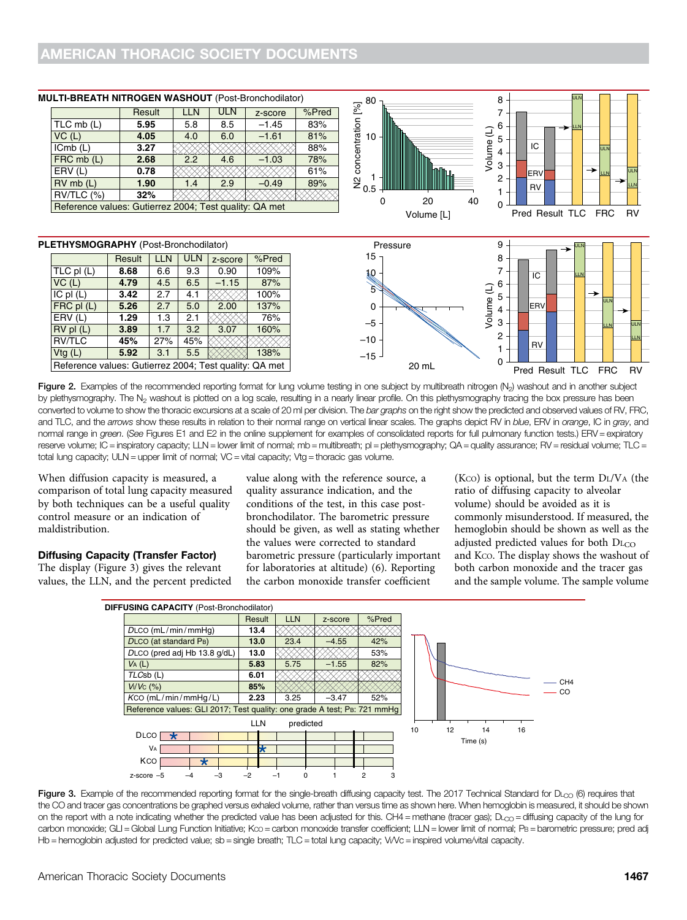|                                                        | Result | <b>LLN</b> | <b>ULN</b> | z-score | %Pred |  |
|--------------------------------------------------------|--------|------------|------------|---------|-------|--|
| $TLC$ mb $(L)$                                         | 5.95   | 5.8        | 8.5        | $-1.45$ | 83%   |  |
| VC(L)                                                  | 4.05   | 4.0        | 6.0        | $-1.61$ | 81%   |  |
| ICmb(L)                                                | 3.27   |            |            |         | 88%   |  |
| FRC mb (L)                                             | 2.68   | 2.2        | 4.6        | $-1.03$ | 78%   |  |
| ERV(L)                                                 | 0.78   |            |            |         | 61%   |  |
| $RV$ mb $(L)$                                          | 1.90   | 1.4        | 2.9        | $-0.49$ | 89%   |  |
| RV/TLC (%)<br>32%                                      |        |            |            |         |       |  |
| Reference values: Gutierrez 2004; Test quality: QA met |        |            |            |         |       |  |

### **MULTI-BREATH NITROGEN WASHOUT** (Post-Bronchodilator)



#### **PLETHYSMOGRAPHY** (Post-Bronchodilator) **Propriet According to Pressure** Pressure

|                                                        | Result | LLN | ULN | z-score | %Pred |
|--------------------------------------------------------|--------|-----|-----|---------|-------|
| $TLC$ pl $(L)$                                         | 8.68   | 6.6 | 9.3 | 0.90    | 109%  |
| $VC$ (L)                                               | 4.79   | 4.5 | 6.5 | $-1.15$ | 87%   |
| $IC$ pl $(L)$                                          | 3.42   | 2.7 | 4.1 |         | 100%  |
| $FRC$ pl $(L)$                                         | 5.26   | 2.7 | 5.0 | 2.00    | 137%  |
| ERV(L)                                                 | 1.29   | 1.3 | 2.1 |         | 76%   |
| $RV$ pl $(L)$                                          | 3.89   | 1.7 | 3.2 | 3.07    | 160%  |
| <b>RV/TLC</b>                                          | 45%    | 27% | 45% |         |       |
| Vtg(L)                                                 | 5.92   | 3.1 | 5.5 |         | 138%  |
| Reference values: Gutierrez 2004; Test quality: QA met |        |     |     |         |       |

 $9 +$  ULN 15 8 7 10 IC LLN 6 5 Volume (L) Volume (L) 5 ULN ERV 0 4 3 –5 ULN LLN 2  $-10$ LLN RV 1 –15  $\Omega$ 20 mL Pred Result TLC FRC RV

Figure 2. Examples of the recommended reporting format for lung volume testing in one subject by multibreath nitrogen  $(N_2)$  washout and in another subject by plethysmography. The N<sub>2</sub> washout is plotted on a log scale, resulting in a nearly linear profile. On this plethysmography tracing the box pressure has been converted to volume to show the thoracic excursions at a scale of 20 ml per division. The bar graphs on the right show the predicted and observed values of RV, FRC, and TLC, and the arrows show these results in relation to their normal range on vertical linear scales. The graphs depict RV in blue, ERV in orange, IC in gray, and normal range in green. (See Figures E1 and E2 in the online supplement for examples of consolidated reports for full pulmonary function tests.) ERV = expiratory reserve volume; IC = inspiratory capacity; LLN = lower limit of normal; mb = multibreath; pl = plethysmography; QA = quality assurance; RV = residual volume; TLC = total lung capacity; ULN = upper limit of normal; VC = vital capacity; Vtg = thoracic gas volume.

When diffusion capacity is measured, a comparison of total lung capacity measured by both techniques can be a useful quality control measure or an indication of maldistribution.

## Diffusing Capacity (Transfer Factor)

The display (Figure 3) gives the relevant values, the LLN, and the percent predicted value along with the reference source, a quality assurance indication, and the conditions of the test, in this case postbronchodilator. The barometric pressure should be given, as well as stating whether the values were corrected to standard barometric pressure (particularly important for laboratories at altitude) (6). Reporting the carbon monoxide transfer coefficient

 $(Kco)$  is optional, but the term  $D<sub>L</sub>/V<sub>A</sub>$  (the ratio of diffusing capacity to alveolar volume) should be avoided as it is commonly misunderstood. If measured, the hemoglobin should be shown as well as the adjusted predicted values for both  $D_{\text{L}}$ and KCO. The display shows the washout of both carbon monoxide and the tracer gas and the sample volume. The sample volume



Figure 3. Example of the recommended reporting format for the single-breath diffusing capacity test. The 2017 Technical Standard for DL<sub>CO</sub> (6) requires that the CO and tracer gas concentrations be graphed versus exhaled volume, rather than versus time as shown here. When hemoglobin is measured, it should be shown on the report with a note indicating whether the predicted value has been adjusted for this. CH4 = methane (tracer gas);  $D_{\text{CO}}$  = diffusing capacity of the lung for carbon monoxide; GLI = Global Lung Function Initiative; Kco = carbon monoxide transfer coefficient; LLN = lower limit of normal; PB = barometric pressure; pred adj Hb = hemoglobin adjusted for predicted value; sb = single breath; TLC = total lung capacity; VI/Vc = inspired volume/vital capacity.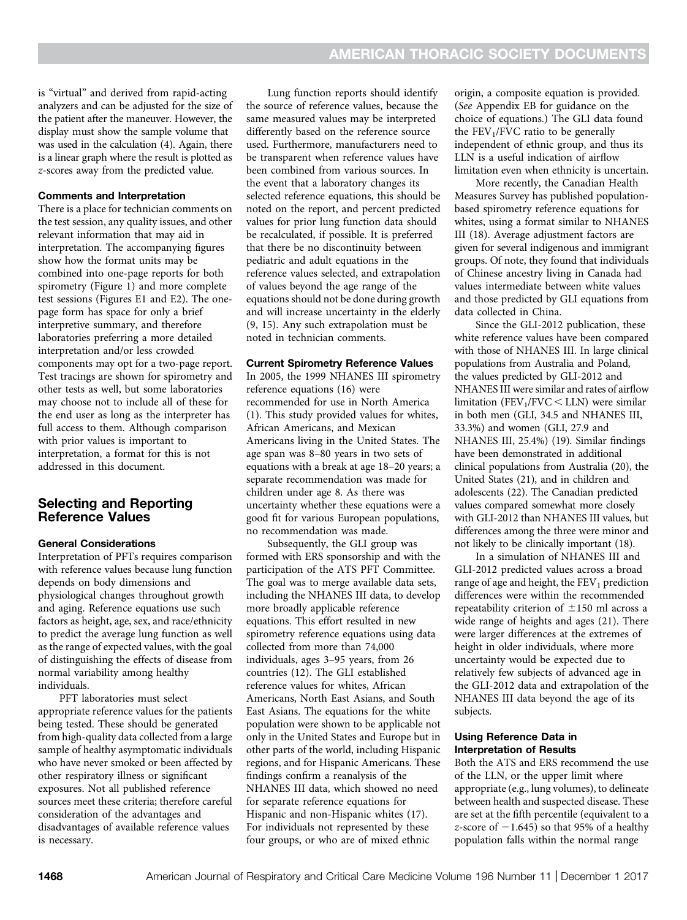is "virtual" and derived from rapid-acting analyzers and can be adjusted for the size of the patient after the maneuver. However, the display must show the sample volume that was used in the calculation (4). Again, there is a linear graph where the result is plotted as z-scores away from the predicted value.

### Comments and Interpretation

There is a place for technician comments on the test session, any quality issues, and other relevant information that may aid in interpretation. The accompanying figures show how the format units may be combined into one-page reports for both spirometry (Figure 1) and more complete test sessions (Figures E1 and E2). The onepage form has space for only a brief interpretive summary, and therefore laboratories preferring a more detailed interpretation and/or less crowded components may opt for a two-page report. Test tracings are shown for spirometry and other tests as well, but some laboratories may choose not to include all of these for the end user as long as the interpreter has full access to them. Although comparison with prior values is important to interpretation, a format for this is not addressed in this document.

# Selecting and Reporting Reference Values

### General Considerations

Interpretation of PFTs requires comparison with reference values because lung function depends on body dimensions and physiological changes throughout growth and aging. Reference equations use such factors as height, age, sex, and race/ethnicity to predict the average lung function as well as the range of expected values, with the goal of distinguishing the effects of disease from normal variability among healthy individuals.

PFT laboratories must select appropriate reference values for the patients being tested. These should be generated from high-quality data collected from a large sample of healthy asymptomatic individuals who have never smoked or been affected by other respiratory illness or significant exposures. Not all published reference sources meet these criteria; therefore careful consideration of the advantages and disadvantages of available reference values is necessary.

Lung function reports should identify the source of reference values, because the same measured values may be interpreted differently based on the reference source used. Furthermore, manufacturers need to be transparent when reference values have been combined from various sources. In the event that a laboratory changes its selected reference equations, this should be noted on the report, and percent predicted values for prior lung function data should be recalculated, if possible. It is preferred that there be no discontinuity between pediatric and adult equations in the reference values selected, and extrapolation of values beyond the age range of the equations should not be done during growth and will increase uncertainty in the elderly (9, 15). Any such extrapolation must be noted in technician comments.

#### Current Spirometry Reference Values

In 2005, the 1999 NHANES III spirometry reference equations (16) were recommended for use in North America (1). This study provided values for whites, African Americans, and Mexican Americans living in the United States. The age span was 8–80 years in two sets of equations with a break at age 18–20 years; a separate recommendation was made for children under age 8. As there was uncertainty whether these equations were a good fit for various European populations, no recommendation was made.

Subsequently, the GLI group was formed with ERS sponsorship and with the participation of the ATS PFT Committee. The goal was to merge available data sets, including the NHANES III data, to develop more broadly applicable reference equations. This effort resulted in new spirometry reference equations using data collected from more than 74,000 individuals, ages 3–95 years, from 26 countries (12). The GLI established reference values for whites, African Americans, North East Asians, and South East Asians. The equations for the white population were shown to be applicable not only in the United States and Europe but in other parts of the world, including Hispanic regions, and for Hispanic Americans. These findings confirm a reanalysis of the NHANES III data, which showed no need for separate reference equations for Hispanic and non-Hispanic whites (17). For individuals not represented by these four groups, or who are of mixed ethnic

origin, a composite equation is provided. (See Appendix EB for guidance on the choice of equations.) The GLI data found the  $FEV<sub>1</sub>/FVC$  ratio to be generally independent of ethnic group, and thus its LLN is a useful indication of airflow limitation even when ethnicity is uncertain.

More recently, the Canadian Health Measures Survey has published populationbased spirometry reference equations for whites, using a format similar to NHANES III (18). Average adjustment factors are given for several indigenous and immigrant groups. Of note, they found that individuals of Chinese ancestry living in Canada had values intermediate between white values and those predicted by GLI equations from data collected in China.

Since the GLI-2012 publication, these white reference values have been compared with those of NHANES III. In large clinical populations from Australia and Poland, the values predicted by GLI-2012 and NHANES III were similar and rates of airflow limitation (FEV<sub>1</sub>/FVC  $<$  LLN) were similar in both men (GLI, 34.5 and NHANES III, 33.3%) and women (GLI, 27.9 and NHANES III, 25.4%) (19). Similar findings have been demonstrated in additional clinical populations from Australia (20), the United States (21), and in children and adolescents (22). The Canadian predicted values compared somewhat more closely with GLI-2012 than NHANES III values, but differences among the three were minor and not likely to be clinically important (18).

In a simulation of NHANES III and GLI-2012 predicted values across a broad range of age and height, the  $FEV<sub>1</sub>$  prediction differences were within the recommended repeatability criterion of  $\pm 150$  ml across a wide range of heights and ages (21). There were larger differences at the extremes of height in older individuals, where more uncertainty would be expected due to relatively few subjects of advanced age in the GLI-2012 data and extrapolation of the NHANES III data beyond the age of its subjects.

# Using Reference Data in Interpretation of Results

Both the ATS and ERS recommend the use of the LLN, or the upper limit where appropriate (e.g., lung volumes), to delineate between health and suspected disease. These are set at the fifth percentile (equivalent to a z-score of  $-1.645$ ) so that 95% of a healthy population falls within the normal range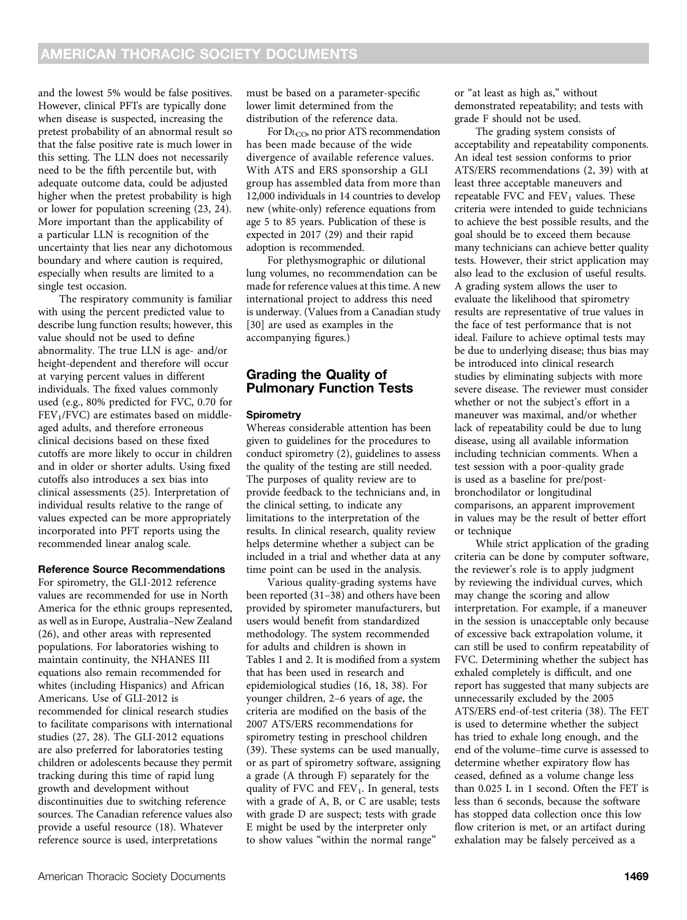and the lowest 5% would be false positives. However, clinical PFTs are typically done when disease is suspected, increasing the pretest probability of an abnormal result so that the false positive rate is much lower in this setting. The LLN does not necessarily need to be the fifth percentile but, with adequate outcome data, could be adjusted higher when the pretest probability is high or lower for population screening (23, 24). More important than the applicability of a particular LLN is recognition of the uncertainty that lies near any dichotomous boundary and where caution is required, especially when results are limited to a single test occasion.

The respiratory community is familiar with using the percent predicted value to describe lung function results; however, this value should not be used to define abnormality. The true LLN is age- and/or height-dependent and therefore will occur at varying percent values in different individuals. The fixed values commonly used (e.g., 80% predicted for FVC, 0.70 for FEV<sub>1</sub>/FVC) are estimates based on middleaged adults, and therefore erroneous clinical decisions based on these fixed cutoffs are more likely to occur in children and in older or shorter adults. Using fixed cutoffs also introduces a sex bias into clinical assessments (25). Interpretation of individual results relative to the range of values expected can be more appropriately incorporated into PFT reports using the recommended linear analog scale.

# Reference Source Recommendations

For spirometry, the GLI-2012 reference values are recommended for use in North America for the ethnic groups represented, as well as in Europe, Australia–New Zealand (26), and other areas with represented populations. For laboratories wishing to maintain continuity, the NHANES III equations also remain recommended for whites (including Hispanics) and African Americans. Use of GLI-2012 is recommended for clinical research studies to facilitate comparisons with international studies (27, 28). The GLI-2012 equations are also preferred for laboratories testing children or adolescents because they permit tracking during this time of rapid lung growth and development without discontinuities due to switching reference sources. The Canadian reference values also provide a useful resource (18). Whatever reference source is used, interpretations

must be based on a parameter-specific lower limit determined from the distribution of the reference data.

For  $D_{\text{L}_\text{CO}}$ , no prior ATS recommendation has been made because of the wide divergence of available reference values. With ATS and ERS sponsorship a GLI group has assembled data from more than 12,000 individuals in 14 countries to develop new (white-only) reference equations from age 5 to 85 years. Publication of these is expected in 2017 (29) and their rapid adoption is recommended.

For plethysmographic or dilutional lung volumes, no recommendation can be made for reference values at this time. A new international project to address this need is underway. (Values from a Canadian study [30] are used as examples in the accompanying figures.)

# Grading the Quality of Pulmonary Function Tests

# **Spirometry**

Whereas considerable attention has been given to guidelines for the procedures to conduct spirometry (2), guidelines to assess the quality of the testing are still needed. The purposes of quality review are to provide feedback to the technicians and, in the clinical setting, to indicate any limitations to the interpretation of the results. In clinical research, quality review helps determine whether a subject can be included in a trial and whether data at any time point can be used in the analysis.

Various quality-grading systems have been reported (31–38) and others have been provided by spirometer manufacturers, but users would benefit from standardized methodology. The system recommended for adults and children is shown in Tables 1 and 2. It is modified from a system that has been used in research and epidemiological studies (16, 18, 38). For younger children, 2–6 years of age, the criteria are modified on the basis of the 2007 ATS/ERS recommendations for spirometry testing in preschool children (39). These systems can be used manually, or as part of spirometry software, assigning a grade (A through F) separately for the quality of FVC and  $FEV<sub>1</sub>$ . In general, tests with a grade of A, B, or C are usable; tests with grade D are suspect; tests with grade E might be used by the interpreter only to show values "within the normal range"

or "at least as high as," without demonstrated repeatability; and tests with grade F should not be used.

The grading system consists of acceptability and repeatability components. An ideal test session conforms to prior ATS/ERS recommendations (2, 39) with at least three acceptable maneuvers and repeatable FVC and  $FEV_1$  values. These criteria were intended to guide technicians to achieve the best possible results, and the goal should be to exceed them because many technicians can achieve better quality tests. However, their strict application may also lead to the exclusion of useful results. A grading system allows the user to evaluate the likelihood that spirometry results are representative of true values in the face of test performance that is not ideal. Failure to achieve optimal tests may be due to underlying disease; thus bias may be introduced into clinical research studies by eliminating subjects with more severe disease. The reviewer must consider whether or not the subject's effort in a maneuver was maximal, and/or whether lack of repeatability could be due to lung disease, using all available information including technician comments. When a test session with a poor-quality grade is used as a baseline for pre/postbronchodilator or longitudinal comparisons, an apparent improvement in values may be the result of better effort or technique

While strict application of the grading criteria can be done by computer software, the reviewer's role is to apply judgment by reviewing the individual curves, which may change the scoring and allow interpretation. For example, if a maneuver in the session is unacceptable only because of excessive back extrapolation volume, it can still be used to confirm repeatability of FVC. Determining whether the subject has exhaled completely is difficult, and one report has suggested that many subjects are unnecessarily excluded by the 2005 ATS/ERS end-of-test criteria (38). The FET is used to determine whether the subject has tried to exhale long enough, and the end of the volume–time curve is assessed to determine whether expiratory flow has ceased, defined as a volume change less than 0.025 L in 1 second. Often the FET is less than 6 seconds, because the software has stopped data collection once this low flow criterion is met, or an artifact during exhalation may be falsely perceived as a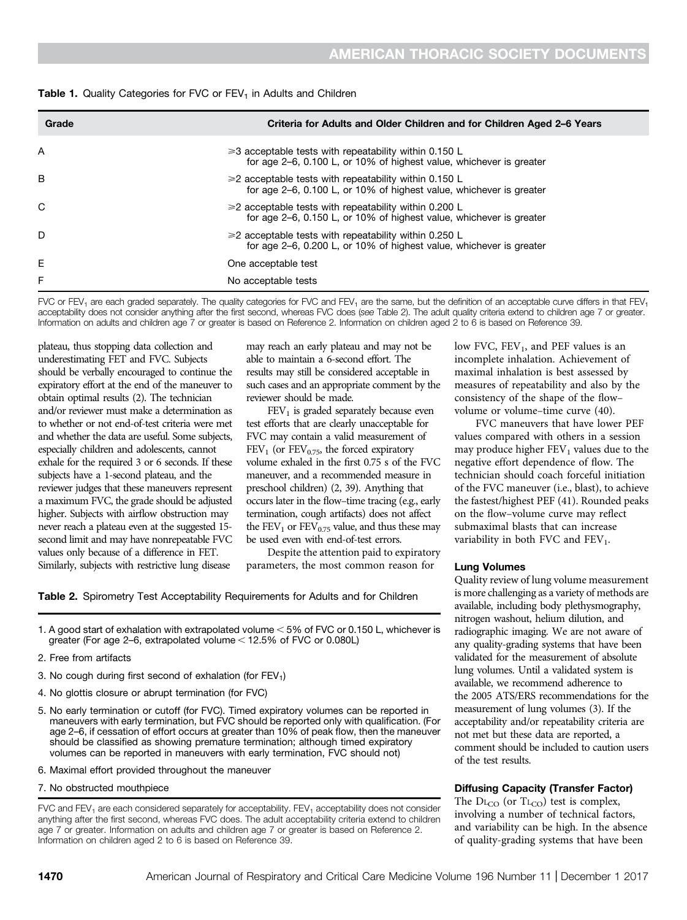| <b>Table 1.</b> Quality Categories for FVC or $FEV1$ in Adults and Children |  |  |  |
|-----------------------------------------------------------------------------|--|--|--|
|-----------------------------------------------------------------------------|--|--|--|

| Grade | Criteria for Adults and Older Children and for Children Aged 2–6 Years                                                             |
|-------|------------------------------------------------------------------------------------------------------------------------------------|
| Α     | $\geq 3$ acceptable tests with repeatability within 0.150 L<br>for age 2–6, 0.100 L, or 10% of highest value, whichever is greater |
| В     | $\geq$ 2 acceptable tests with repeatability within 0.150 L<br>for age 2-6, 0.100 L, or 10% of highest value, whichever is greater |
| C     | $\geq$ 2 acceptable tests with repeatability within 0.200 L<br>for age 2–6, 0.150 L, or 10% of highest value, whichever is greater |
| D     | $\geq$ 2 acceptable tests with repeatability within 0.250 L<br>for age 2–6, 0.200 L, or 10% of highest value, whichever is greater |
| E     | One acceptable test                                                                                                                |
| F     | No acceptable tests                                                                                                                |

FVC or FEV<sub>1</sub> are each graded separately. The quality categories for FVC and FEV<sub>1</sub> are the same, but the definition of an acceptable curve differs in that FEV<sub>1</sub> acceptability does not consider anything after the first second, whereas FVC does (see Table 2). The adult quality criteria extend to children age 7 or greater. Information on adults and children age 7 or greater is based on Reference 2. Information on children aged 2 to 6 is based on Reference 39.

plateau, thus stopping data collection and underestimating FET and FVC. Subjects should be verbally encouraged to continue the expiratory effort at the end of the maneuver to obtain optimal results (2). The technician and/or reviewer must make a determination as to whether or not end-of-test criteria were met and whether the data are useful. Some subjects, especially children and adolescents, cannot exhale for the required 3 or 6 seconds. If these subjects have a 1-second plateau, and the reviewer judges that these maneuvers represent a maximum FVC, the grade should be adjusted higher. Subjects with airflow obstruction may never reach a plateau even at the suggested 15 second limit and may have nonrepeatable FVC values only because of a difference in FET. Similarly, subjects with restrictive lung disease

may reach an early plateau and may not be able to maintain a 6-second effort. The results may still be considered acceptable in such cases and an appropriate comment by the reviewer should be made.

 $FEV<sub>1</sub>$  is graded separately because even test efforts that are clearly unacceptable for FVC may contain a valid measurement of  $FEV<sub>1</sub>$  (or  $FEV<sub>0.75</sub>$ , the forced expiratory volume exhaled in the first 0.75 s of the FVC maneuver, and a recommended measure in preschool children) (2, 39). Anything that occurs later in the flow–time tracing (e.g., early termination, cough artifacts) does not affect the  $FEV_1$  or  $FEV_{0.75}$  value, and thus these may be used even with end-of-test errors.

Despite the attention paid to expiratory parameters, the most common reason for

Table 2. Spirometry Test Acceptability Requirements for Adults and for Children

1. A good start of exhalation with extrapolated volume < 5% of FVC or 0.150 L, whichever is greater (For age 2–6, extrapolated volume  $<$  12.5% of FVC or 0.080L)

- 2. Free from artifacts
- 3. No cough during first second of exhalation (for  $FEV<sub>1</sub>$ )
- 4. No glottis closure or abrupt termination (for FVC)
- 5. No early termination or cutoff (for FVC). Timed expiratory volumes can be reported in maneuvers with early termination, but FVC should be reported only with qualification. (For age 2–6, if cessation of effort occurs at greater than 10% of peak flow, then the maneuver should be classified as showing premature termination; although timed expiratory volumes can be reported in maneuvers with early termination, FVC should not)
- 6. Maximal effort provided throughout the maneuver
- 7. No obstructed mouthpiece

 $FVC$  and  $FEV<sub>1</sub>$  are each considered separately for acceptability.  $FEV<sub>1</sub>$  acceptability does not consider anything after the first second, whereas FVC does. The adult acceptability criteria extend to children age 7 or greater. Information on adults and children age 7 or greater is based on Reference 2. Information on children aged 2 to 6 is based on Reference 39.

low FVC,  $FEV_1$ , and PEF values is an incomplete inhalation. Achievement of maximal inhalation is best assessed by measures of repeatability and also by the consistency of the shape of the flow– volume or volume–time curve (40).

FVC maneuvers that have lower PEF values compared with others in a session may produce higher  $FEV<sub>1</sub>$  values due to the negative effort dependence of flow. The technician should coach forceful initiation of the FVC maneuver (i.e., blast), to achieve the fastest/highest PEF (41). Rounded peaks on the flow–volume curve may reflect submaximal blasts that can increase variability in both FVC and  $FEV<sub>1</sub>$ .

#### Lung Volumes

Quality review of lung volume measurement is more challenging as a variety of methods are available, including body plethysmography, nitrogen washout, helium dilution, and radiographic imaging. We are not aware of any quality-grading systems that have been validated for the measurement of absolute lung volumes. Until a validated system is available, we recommend adherence to the 2005 ATS/ERS recommendations for the measurement of lung volumes (3). If the acceptability and/or repeatability criteria are not met but these data are reported, a comment should be included to caution users of the test results.

### Diffusing Capacity (Transfer Factor)

The  $DI_{CO}$  (or  $T_{LCO}$ ) test is complex, involving a number of technical factors, and variability can be high. In the absence of quality-grading systems that have been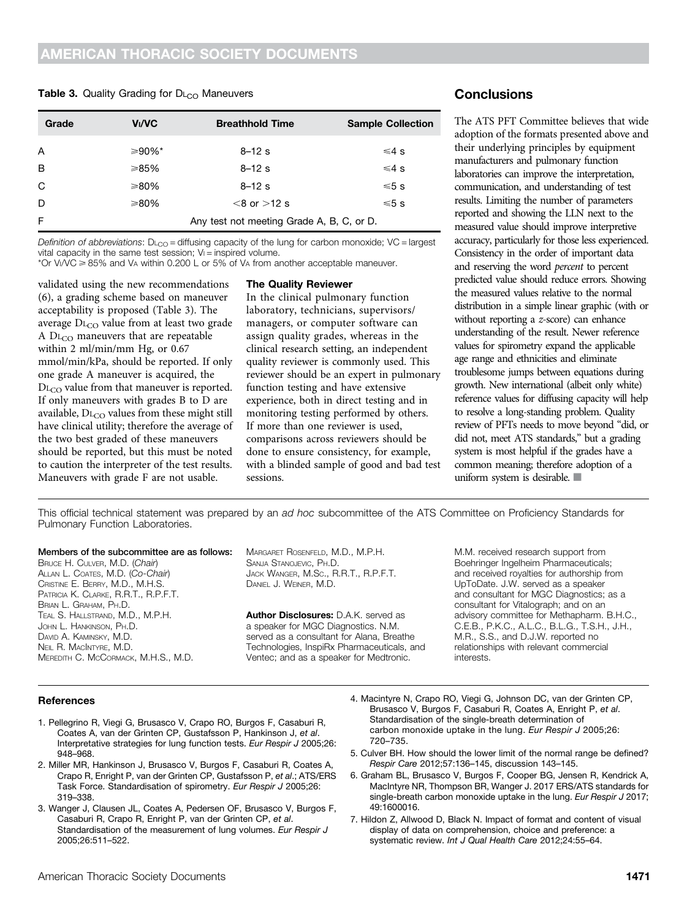#### **Table 3.** Quality Grading for  $D_{\text{L}_{CO}}$  Maneuvers

| Grade | <b>Vı/VC</b> | <b>Breathhold Time</b>                    | <b>Sample Collection</b> |  |  |  |  |
|-------|--------------|-------------------------------------------|--------------------------|--|--|--|--|
| A     | ≥90%*        | $8 - 12s$                                 | $≤4$ s                   |  |  |  |  |
| B     | ≥85%         | $8 - 12s$                                 | $≤4$ s                   |  |  |  |  |
| C     | ≥80%         | $8 - 12$ s                                | ≤5s                      |  |  |  |  |
| D     | ≥80%         | $<8$ or $>12$ s                           | ≤5s                      |  |  |  |  |
| F     |              | Any test not meeting Grade A, B, C, or D. |                          |  |  |  |  |

Definition of abbreviations:  $D_{\text{LCO}}$  = diffusing capacity of the lung for carbon monoxide; VC = largest vital capacity in the same test session;  $V =$  inspired volume.

\*Or Vi/VC  $\geq$  85% and V<sub>A</sub> within 0.200 L or 5% of V<sub>A</sub> from another acceptable maneuver.

validated using the new recommendations (6), a grading scheme based on maneuver acceptability is proposed (Table 3). The average DL<sub>CO</sub> value from at least two grade A  $DL<sub>CO</sub>$  maneuvers that are repeatable within 2 ml/min/mm Hg, or 0.67 mmol/min/kPa, should be reported. If only one grade A maneuver is acquired, the D<sub>LCO</sub> value from that maneuver is reported. If only maneuvers with grades B to D are available,  $DL_{CO}$  values from these might still have clinical utility; therefore the average of the two best graded of these maneuvers should be reported, but this must be noted to caution the interpreter of the test results. Maneuvers with grade F are not usable.

#### The Quality Reviewer

In the clinical pulmonary function laboratory, technicians, supervisors/ managers, or computer software can assign quality grades, whereas in the clinical research setting, an independent quality reviewer is commonly used. This reviewer should be an expert in pulmonary function testing and have extensive experience, both in direct testing and in monitoring testing performed by others. If more than one reviewer is used, comparisons across reviewers should be done to ensure consistency, for example, with a blinded sample of good and bad test sessions.

# **Conclusions**

The ATS PFT Committee believes that wide adoption of the formats presented above and their underlying principles by equipment manufacturers and pulmonary function laboratories can improve the interpretation, communication, and understanding of test results. Limiting the number of parameters reported and showing the LLN next to the measured value should improve interpretive accuracy, particularly for those less experienced. Consistency in the order of important data and reserving the word percent to percent predicted value should reduce errors. Showing the measured values relative to the normal distribution in a simple linear graphic (with or without reporting a z-score) can enhance understanding of the result. Newer reference values for spirometry expand the applicable age range and ethnicities and eliminate troublesome jumps between equations during growth. New international (albeit only white) reference values for diffusing capacity will help to resolve a long-standing problem. Quality review of PFTs needs to move beyond "did, or did not, meet ATS standards," but a grading system is most helpful if the grades have a common meaning; therefore adoption of a uniform system is desirable.  $\blacksquare$ 

This official technical statement was prepared by an ad hoc subcommittee of the ATS Committee on Proficiency Standards for Pulmonary Function Laboratories.

BRUCE H. CULVER, M.D. (Chair) ALLAN L. COATES, M.D. (Co-Chair) CRISTINE E. BERRY, M.D., M.H.S. PATRICIA K. CLARKE, R.R.T., R.P.F.T. BRIAN L. GRAHAM, PH.D. TEAL S. HALLSTRAND, M.D., M.P.H. JOHN L. HANKINSON, PH.D. DAVID A. KAMINSKY, M.D. NEIL R. MACINTYRE, M.D. MEREDITH C. MCCORMACK, M.H.S., M.D.

MARGARET ROSENFELD, M.D., M.P.H. SANJA STANOJEVIC, PH.D. JACK WANGER, M.SC., R.R.T., R.P.F.T. DANIEL J. WEINER, M.D.

Author Disclosures: D.A.K. served as a speaker for MGC Diagnostics. N.M. served as a consultant for Alana, Breathe Technologies, InspiRx Pharmaceuticals, and Ventec; and as a speaker for Medtronic.

M.M. received research support from Boehringer Ingelheim Pharmaceuticals; and received royalties for authorship from UpToDate. J.W. served as a speaker and consultant for MGC Diagnostics; as a consultant for Vitalograph; and on an advisory committee for Methapharm. B.H.C., C.E.B., P.K.C., A.L.C., B.L.G., T.S.H., J.H., M.R., S.S., and D.J.W. reported no relationships with relevant commercial interests.

#### References

- 1. Pellegrino R, Viegi G, Brusasco V, Crapo RO, Burgos F, Casaburi R, Coates A, van der Grinten CP, Gustafsson P, Hankinson J, et al. Interpretative strategies for lung function tests. Eur Respir J 2005;26: 948–968.
- 2. Miller MR, Hankinson J, Brusasco V, Burgos F, Casaburi R, Coates A, Crapo R, Enright P, van der Grinten CP, Gustafsson P, et al.; ATS/ERS Task Force. Standardisation of spirometry. Eur Respir J 2005;26: 319–338.
- 3. Wanger J, Clausen JL, Coates A, Pedersen OF, Brusasco V, Burgos F, Casaburi R, Crapo R, Enright P, van der Grinten CP, et al. Standardisation of the measurement of lung volumes. Eur Respir J 2005;26:511–522.
- 4. Macintyre N, Crapo RO, Viegi G, Johnson DC, van der Grinten CP, Brusasco V, Burgos F, Casaburi R, Coates A, Enright P, et al. Standardisation of the single-breath determination of carbon monoxide uptake in the lung. Eur Respir J 2005;26: 720–735.
- 5. Culver BH. How should the lower limit of the normal range be defined? Respir Care 2012;57:136–145, discussion 143–145.
- 6. Graham BL, Brusasco V, Burgos F, Cooper BG, Jensen R, Kendrick A, MacIntyre NR, Thompson BR, Wanger J. 2017 ERS/ATS standards for single-breath carbon monoxide uptake in the lung. Eur Respir J 2017; 49:1600016.
- 7. Hildon Z, Allwood D, Black N. Impact of format and content of visual display of data on comprehension, choice and preference: a systematic review. Int J Qual Health Care 2012;24:55-64.